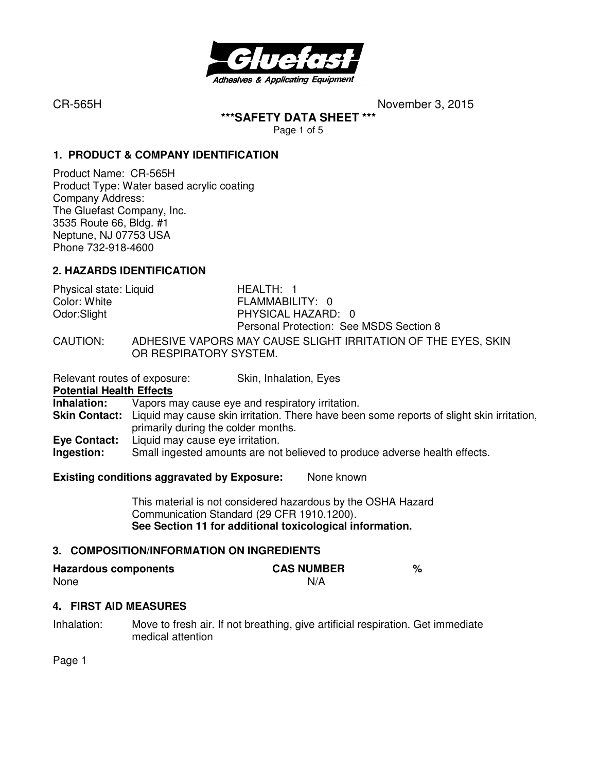

**\*\*\*SAFETY DATA SHEET \*\*\*** 

Page 1 of 5

#### **1. PRODUCT & COMPANY IDENTIFICATION**

Product Name: CR-565H Product Type: Water based acrylic coating Company Address: The Gluefast Company, Inc. 3535 Route 66, Bldg. #1 Neptune, NJ 07753 USA Phone 732-918-4600

#### **2. HAZARDS IDENTIFICATION**

| Physical state: Liquid | HEALTH: 1                                                                               |
|------------------------|-----------------------------------------------------------------------------------------|
| Color: White           | FLAMMABILITY: 0                                                                         |
| Odor:Slight            | PHYSICAL HAZARD: 0                                                                      |
|                        | Personal Protection: See MSDS Section 8                                                 |
| CAUTION:               | ADHESIVE VAPORS MAY CAUSE SLIGHT IRRITATION OF THE EYES, SKIN<br>OR RESPIRATORY SYSTEM. |

Relevant routes of exposure: Skin, Inhalation, Eyes

**Potential Health Effects**<br>**Inhalation:** Vapors m Vapors may cause eye and respiratory irritation. **Skin Contact:** Liquid may cause skin irritation. There have been some reports of slight skin irritation, primarily during the colder months. **Eye Contact:** Liquid may cause eye irritation. **Ingestion:** Small ingested amounts are not believed to produce adverse health effects.

#### **Existing conditions aggravated by Exposure:** None known

This material is not considered hazardous by the OSHA Hazard Communication Standard (29 CFR 1910.1200). **See Section 11 for additional toxicological information.** 

#### **3. COMPOSITION/INFORMATION ON INGREDIENTS**

| <b>Hazardous components</b> | <b>CAS NUMBER</b> |  |
|-----------------------------|-------------------|--|
| None                        | N/A               |  |

#### **4. FIRST AID MEASURES**

Inhalation: Move to fresh air. If not breathing, give artificial respiration. Get immediate medical attention

Page 1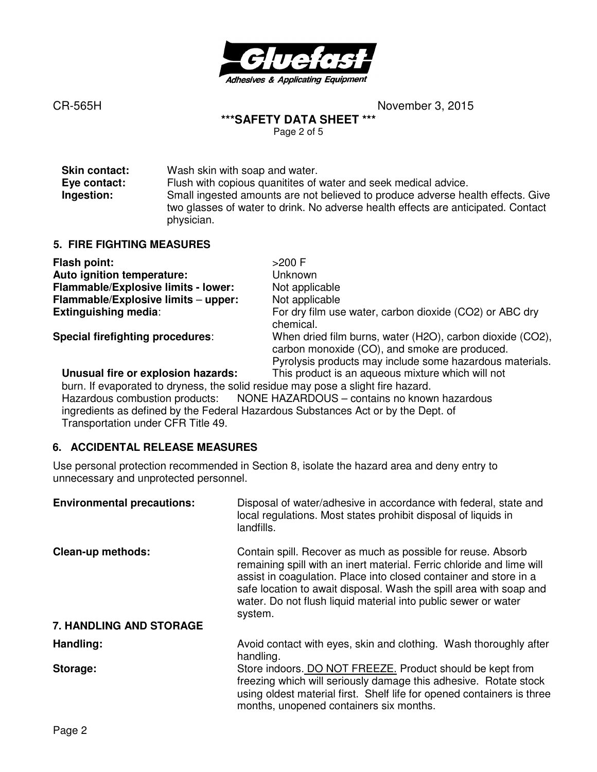

**\*\*\*SAFETY DATA SHEET \*\*\*** 

Page 2 of 5

| <b>Skin contact:</b> | Wash skin with soap and water.                                                                                                                                                     |
|----------------------|------------------------------------------------------------------------------------------------------------------------------------------------------------------------------------|
| Eye contact:         | Flush with copious quanitities of water and seek medical advice.                                                                                                                   |
| Ingestion:           | Small ingested amounts are not believed to produce adverse health effects. Give<br>two glasses of water to drink. No adverse health effects are anticipated. Contact<br>physician. |

#### **5. FIRE FIGHTING MEASURES**

| Flash point:                                                                  | $>200$ F                                                                                                                                                               |
|-------------------------------------------------------------------------------|------------------------------------------------------------------------------------------------------------------------------------------------------------------------|
| Auto ignition temperature:                                                    | Unknown                                                                                                                                                                |
| Flammable/Explosive limits - lower:                                           | Not applicable                                                                                                                                                         |
| Flammable/Explosive limits - upper:                                           | Not applicable                                                                                                                                                         |
| <b>Extinguishing media:</b>                                                   | For dry film use water, carbon dioxide (CO2) or ABC dry<br>chemical.                                                                                                   |
| Special firefighting procedures:                                              | When dried film burns, water (H2O), carbon dioxide (CO2),<br>carbon monoxide (CO), and smoke are produced.<br>Pyrolysis products may include some hazardous materials. |
| Unusual fire or explosion hazards:                                            | This product is an aqueous mixture which will not                                                                                                                      |
| burn If evanorated to dryness the solid residue may nose a slight fire hazard |                                                                                                                                                                        |

m. If evaporated to dryness, the solid residue may pose a slight fire hazard. Hazardous combustion products: NONE HAZARDOUS – contains no known hazardous ingredients as defined by the Federal Hazardous Substances Act or by the Dept. of Transportation under CFR Title 49.

### **6. ACCIDENTAL RELEASE MEASURES**

Use personal protection recommended in Section 8, isolate the hazard area and deny entry to unnecessary and unprotected personnel.

| <b>Environmental precautions:</b>                   | Disposal of water/adhesive in accordance with federal, state and<br>local regulations. Most states prohibit disposal of liquids in<br>landfills.                                                                                                                                                                                                              |
|-----------------------------------------------------|---------------------------------------------------------------------------------------------------------------------------------------------------------------------------------------------------------------------------------------------------------------------------------------------------------------------------------------------------------------|
| <b>Clean-up methods:</b><br>7. HANDLING AND STORAGE | Contain spill. Recover as much as possible for reuse. Absorb<br>remaining spill with an inert material. Ferric chloride and lime will<br>assist in coagulation. Place into closed container and store in a<br>safe location to await disposal. Wash the spill area with soap and<br>water. Do not flush liquid material into public sewer or water<br>system. |
|                                                     |                                                                                                                                                                                                                                                                                                                                                               |
| Handling:                                           | Avoid contact with eyes, skin and clothing. Wash thoroughly after<br>handling.                                                                                                                                                                                                                                                                                |
| Storage:                                            | Store indoors. DO NOT FREEZE. Product should be kept from<br>freezing which will seriously damage this adhesive. Rotate stock<br>using oldest material first. Shelf life for opened containers is three<br>months, unopened containers six months.                                                                                                            |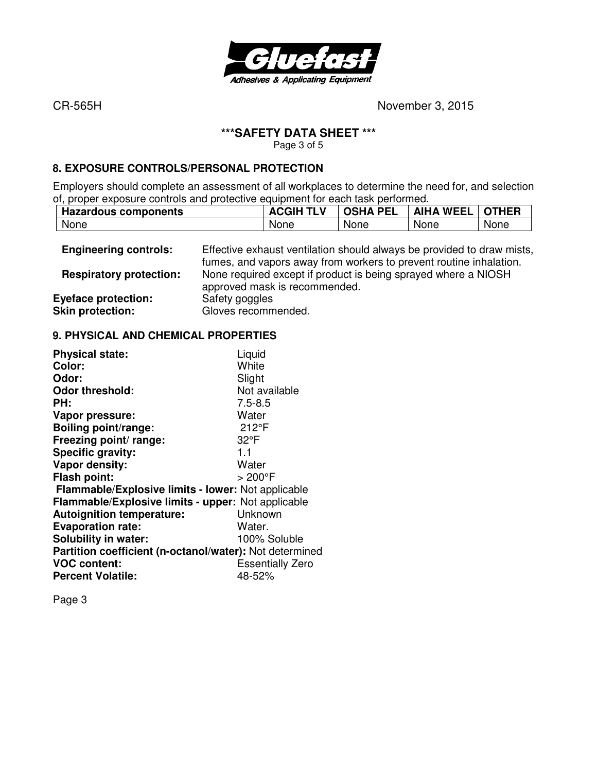

#### **\*\*\*SAFETY DATA SHEET \*\*\***

Page 3 of 5

#### **8. EXPOSURE CONTROLS/PERSONAL PROTECTION**

Employers should complete an assessment of all workplaces to determine the need for, and selection of, proper exposure controls and protective equipment for each task performed.

|      | <b>Hazardous components</b> | <b>TLV</b><br><b>ACGIH</b> | <b>PEL</b><br>OSHA | <b>WEEI</b><br><b>AIHA</b> | <b>OTHER</b> |
|------|-----------------------------|----------------------------|--------------------|----------------------------|--------------|
| None |                             | None                       | <b>None</b>        | None                       | None         |

| <b>Engineering controls:</b>                          | Effective exhaust ventilation should always be provided to draw mists,<br>fumes, and vapors away from workers to prevent routine inhalation. |
|-------------------------------------------------------|----------------------------------------------------------------------------------------------------------------------------------------------|
| <b>Respiratory protection:</b>                        | None required except if product is being sprayed where a NIOSH<br>approved mask is recommended.                                              |
| <b>Eyeface protection:</b><br><b>Skin protection:</b> | Safety goggles<br>Gloves recommended.                                                                                                        |

#### **9. PHYSICAL AND CHEMICAL PROPERTIES**

| <b>Physical state:</b>                                  | Liquid                  |
|---------------------------------------------------------|-------------------------|
| Color:                                                  | White                   |
| Odor:                                                   | Slight                  |
| <b>Odor threshold:</b>                                  | Not available           |
| PH:                                                     | $7.5 - 8.5$             |
| Vapor pressure:                                         | Water                   |
| <b>Boiling point/range:</b>                             | 212°F                   |
| Freezing point/ range:                                  | $32^{\circ}F$           |
| Specific gravity:                                       | 1.1                     |
| Vapor density:                                          | Water                   |
| <b>Flash point:</b>                                     | > 200°F                 |
| Flammable/Explosive limits - lower: Not applicable      |                         |
| Flammable/Explosive limits - upper: Not applicable      |                         |
| <b>Autoignition temperature:</b>                        | Unknown                 |
| <b>Evaporation rate:</b>                                | Water.                  |
| Solubility in water:                                    | 100% Soluble            |
| Partition coefficient (n-octanol/water): Not determined |                         |
| <b>VOC content:</b>                                     | <b>Essentially Zero</b> |
| <b>Percent Volatile:</b>                                | 48-52%                  |
|                                                         |                         |

Page 3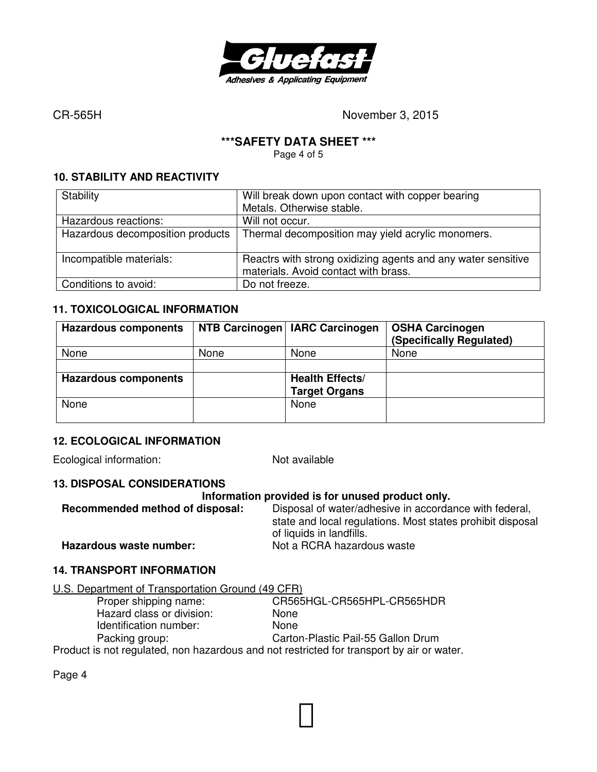

#### **\*\*\*SAFETY DATA SHEET \*\*\***

Page 4 of 5

#### **10. STABILITY AND REACTIVITY**

| Stability                        | Will break down upon contact with copper bearing                                                     |  |  |
|----------------------------------|------------------------------------------------------------------------------------------------------|--|--|
|                                  | Metals. Otherwise stable.                                                                            |  |  |
| Hazardous reactions:             | Will not occur.                                                                                      |  |  |
| Hazardous decomposition products | Thermal decomposition may yield acrylic monomers.                                                    |  |  |
| Incompatible materials:          | Reactrs with strong oxidizing agents and any water sensitive<br>materials. Avoid contact with brass. |  |  |
| Conditions to avoid:             | Do not freeze.                                                                                       |  |  |

#### **11. TOXICOLOGICAL INFORMATION**

| <b>Hazardous components</b> |      | NTB Carcinogen   IARC Carcinogen | <b>OSHA Carcinogen</b><br>(Specifically Regulated) |
|-----------------------------|------|----------------------------------|----------------------------------------------------|
| None                        | None | None                             | None                                               |
|                             |      |                                  |                                                    |
| <b>Hazardous components</b> |      | <b>Health Effects/</b>           |                                                    |
|                             |      | <b>Target Organs</b>             |                                                    |
| None                        |      | None                             |                                                    |
|                             |      |                                  |                                                    |

#### **12. ECOLOGICAL INFORMATION**

Ecological information: Not available

#### **13. DISPOSAL CONSIDERATIONS**

#### **Information provided is for unused product only.**

**Recommended method of disposal:** Disposal of water/adhesive in accordance with federal, state and local regulations. Most states prohibit disposal of liquids in landfills. **Hazardous waste number:** Not a RCRA hazardous waste

### **14. TRANSPORT INFORMATION**

# U.S. Department of Transportation Ground (49 CFR)<br>Proper shipping name: CR565

CR565HGL-CR565HPL-CR565HDR Hazard class or division: None Identification number: None Packing group: Carton-Plastic Pail-55 Gallon Drum

Product is not regulated, non hazardous and not restricted for transport by air or water.

Page 4